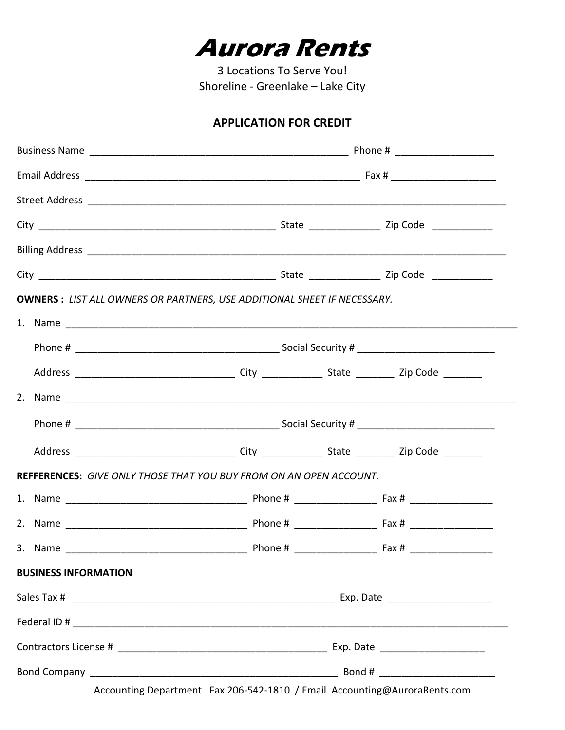

3 Locations To Serve You! Shoreline - Greenlake - Lake City

# **APPLICATION FOR CREDIT**

|  | <b>OWNERS: LIST ALL OWNERS OR PARTNERS, USE ADDITIONAL SHEET IF NECESSARY.</b> |  |  |  |  |  |
|--|--------------------------------------------------------------------------------|--|--|--|--|--|
|  |                                                                                |  |  |  |  |  |
|  |                                                                                |  |  |  |  |  |
|  |                                                                                |  |  |  |  |  |
|  |                                                                                |  |  |  |  |  |
|  |                                                                                |  |  |  |  |  |
|  |                                                                                |  |  |  |  |  |
|  | <b>REFFERENCES:</b> GIVE ONLY THOSE THAT YOU BUY FROM ON AN OPEN ACCOUNT.      |  |  |  |  |  |
|  |                                                                                |  |  |  |  |  |
|  |                                                                                |  |  |  |  |  |
|  |                                                                                |  |  |  |  |  |
|  | <b>BUSINESS INFORMATION</b>                                                    |  |  |  |  |  |
|  |                                                                                |  |  |  |  |  |
|  |                                                                                |  |  |  |  |  |
|  |                                                                                |  |  |  |  |  |
|  |                                                                                |  |  |  |  |  |

Accounting Department Fax 206-542-1810 / Email Accounting@AuroraRents.com